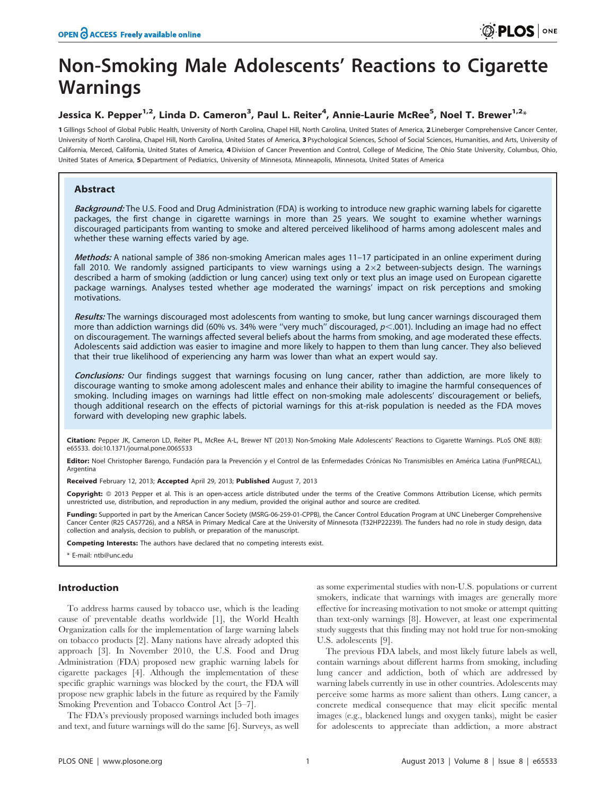# Non-Smoking Male Adolescents' Reactions to Cigarette Warnings

# Jessica K. Pepper<sup>1,2</sup>, Linda D. Cameron<sup>3</sup>, Paul L. Reiter<sup>4</sup>, Annie-Laurie McRee<sup>5</sup>, Noel T. Brewer<sup>1,2</sup>\*

1 Gillings School of Global Public Health, University of North Carolina, Chapel Hill, North Carolina, United States of America, 2 Lineberger Comprehensive Cancer Center, University of North Carolina, Chapel Hill, North Carolina, United States of America, 3 Psychological Sciences, School of Social Sciences, Humanities, and Arts, University of California, Merced, California, United States of America, 4 Division of Cancer Prevention and Control, College of Medicine, The Ohio State University, Columbus, Ohio, United States of America, 5Department of Pediatrics, University of Minnesota, Minneapolis, Minnesota, United States of America

# Abstract

Background: The U.S. Food and Drug Administration (FDA) is working to introduce new graphic warning labels for cigarette packages, the first change in cigarette warnings in more than 25 years. We sought to examine whether warnings discouraged participants from wanting to smoke and altered perceived likelihood of harms among adolescent males and whether these warning effects varied by age.

Methods: A national sample of 386 non-smoking American males ages 11-17 participated in an online experiment during fall 2010. We randomly assigned participants to view warnings using a  $2\times 2$  between-subjects design. The warnings described a harm of smoking (addiction or lung cancer) using text only or text plus an image used on European cigarette package warnings. Analyses tested whether age moderated the warnings' impact on risk perceptions and smoking motivations.

Results: The warnings discouraged most adolescents from wanting to smoke, but lung cancer warnings discouraged them more than addiction warnings did (60% vs. 34% were "very much" discouraged,  $p$ <.001). Including an image had no effect on discouragement. The warnings affected several beliefs about the harms from smoking, and age moderated these effects. Adolescents said addiction was easier to imagine and more likely to happen to them than lung cancer. They also believed that their true likelihood of experiencing any harm was lower than what an expert would say.

Conclusions: Our findings suggest that warnings focusing on lung cancer, rather than addiction, are more likely to discourage wanting to smoke among adolescent males and enhance their ability to imagine the harmful consequences of smoking. Including images on warnings had little effect on non-smoking male adolescents' discouragement or beliefs, though additional research on the effects of pictorial warnings for this at-risk population is needed as the FDA moves forward with developing new graphic labels.

Citation: Pepper JK, Cameron LD, Reiter PL, McRee A-L, Brewer NT (2013) Non-Smoking Male Adolescents' Reactions to Cigarette Warnings. PLoS ONE 8(8): e65533. doi:10.1371/journal.pone.0065533

Editor: Noel Christopher Barengo, Fundación para la Prevención y el Control de las Enfermedades Crónicas No Transmisibles en América Latina (FunPRECAL), Argentina

Received February 12, 2013; Accepted April 29, 2013; Published August 7, 2013

Copyright: © 2013 Pepper et al. This is an open-access article distributed under the terms of the Creative Commons Attribution License, which permits unrestricted use, distribution, and reproduction in any medium, provided the original author and source are credited.

Funding: Supported in part by the American Cancer Society (MSRG-06-259-01-CPPB), the Cancer Control Education Program at UNC Lineberger Comprehensive Cancer Center (R25 CA57726), and a NRSA in Primary Medical Care at the University of Minnesota (T32HP22239). The funders had no role in study design, data collection and analysis, decision to publish, or preparation of the manuscript.

Competing Interests: The authors have declared that no competing interests exist.

\* E-mail: ntb@unc.edu

# Introduction

To address harms caused by tobacco use, which is the leading cause of preventable deaths worldwide [1], the World Health Organization calls for the implementation of large warning labels on tobacco products [2]. Many nations have already adopted this approach [3]. In November 2010, the U.S. Food and Drug Administration (FDA) proposed new graphic warning labels for cigarette packages [4]. Although the implementation of these specific graphic warnings was blocked by the court, the FDA will propose new graphic labels in the future as required by the Family Smoking Prevention and Tobacco Control Act [5–7].

The FDA's previously proposed warnings included both images and text, and future warnings will do the same [6]. Surveys, as well

as some experimental studies with non-U.S. populations or current smokers, indicate that warnings with images are generally more effective for increasing motivation to not smoke or attempt quitting than text-only warnings [8]. However, at least one experimental study suggests that this finding may not hold true for non-smoking U.S. adolescents [9].

The previous FDA labels, and most likely future labels as well, contain warnings about different harms from smoking, including lung cancer and addiction, both of which are addressed by warning labels currently in use in other countries. Adolescents may perceive some harms as more salient than others. Lung cancer, a concrete medical consequence that may elicit specific mental images (e.g., blackened lungs and oxygen tanks), might be easier for adolescents to appreciate than addiction, a more abstract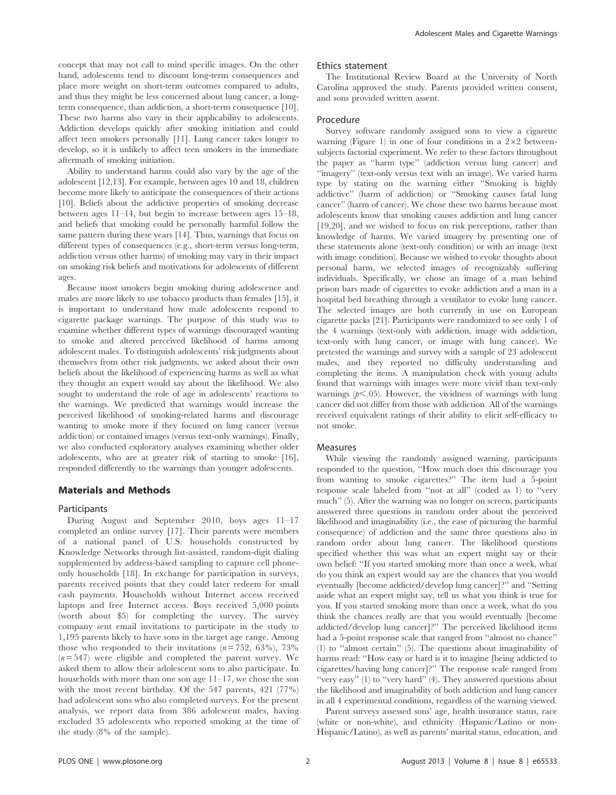concept that may not call to mind specific images. On the other hand, adolescents tend to discount long-term consequences and place more weight on short-term outcomes compared to adults, and thus they might be less concerned about lung cancer, a longterm consequence, than addiction, a short-term consequence [10]. These two harms also vary in their applicability to adolescents. Addiction develops quickly after smoking initiation and could affect teen smokers personally [11]. Lung cancer takes longer to develop, so it is unlikely to affect teen smokers in the immediate aftermath of smoking initiation.

Ability to understand harms could also vary by the age of the adolescent [12,13]. For example, between ages 10 and 18, children become more likely to anticipate the consequences of their actions [10]. Beliefs about the addictive properties of smoking decrease between ages 11–14, but begin to increase between ages 15–18, and beliefs that smoking could be personally harmful follow the same pattern during these years [14]. Thus, warnings that focus on different types of consequences (e.g., short-term versus long-term, addiction versus other harms) of smoking may vary in their impact on smoking risk beliefs and motivations for adolescents of different ages.

Because most smokers begin smoking during adolescence and males are more likely to use tobacco products than females [15], it is important to understand how male adolescents respond to cigarette package warnings. The purpose of this study was to examine whether different types of warnings discouraged wanting to smoke and altered perceived likelihood of harms among adolescent males. To distinguish adolescents' risk judgments about themselves from other risk judgments, we asked about their own beliefs about the likelihood of experiencing harms as well as what they thought an expert would say about the likelihood. We also sought to understand the role of age in adolescents' reactions to the warnings. We predicted that warnings would increase the perceived likelihood of smoking-related harms and discourage wanting to smoke more if they focused on lung cancer (versus addiction) or contained images (versus text-only warnings). Finally, we also conducted exploratory analyses examining whether older adolescents, who are at greater risk of starting to smoke [16], responded differently to the warnings than younger adolescents.

#### Materials and Methods

#### Participants

During August and September 2010, boys ages 11–17 completed an online survey [17]. Their parents were members of a national panel of U.S. households constructed by Knowledge Networks through list-assisted, random-digit dialing supplemented by address-based sampling to capture cell phoneonly households [18]. In exchange for participation in surveys, parents received points that they could later redeem for small cash payments. Households without Internet access received laptops and free Internet access. Boys received 5,000 points (worth about \$5) for completing the survey. The survey company sent email invitations to participate in the study to 1,195 parents likely to have sons in the target age range. Among those who responded to their invitations  $(n = 752, 63\%)$ , 73%  $(n=547)$  were eligible and completed the parent survey. We asked them to allow their adolescent sons to also participate. In households with more than one son age 11–17, we chose the son with the most recent birthday. Of the 547 parents, 421 (77%) had adolescent sons who also completed surveys. For the present analysis, we report data from 386 adolescent males, having excluded 35 adolescents who reported smoking at the time of the study (8% of the sample).

#### Ethics statement

The Institutional Review Board at the University of North Carolina approved the study. Parents provided written consent, and sons provided written assent.

#### Procedure

Survey software randomly assigned sons to view a cigarette warning (Figure 1) in one of four conditions in a  $2\times2$  betweensubjects factorial experiment. We refer to these factors throughout the paper as ''harm type'' (addiction versus lung cancer) and ''imagery'' (text-only versus text with an image). We varied harm type by stating on the warning either ''Smoking is highly addictive'' (harm of addiction) or ''Smoking causes fatal lung cancer'' (harm of cancer). We chose these two harms because most adolescents know that smoking causes addiction and lung cancer [19,20], and we wished to focus on risk perceptions, rather than knowledge of harms. We varied imagery by presenting one of these statements alone (text-only condition) or with an image (text with image condition). Because we wished to evoke thoughts about personal harm, we selected images of recognizably suffering individuals. Specifically, we chose an image of a man behind prison bars made of cigarettes to evoke addiction and a man in a hospital bed breathing through a ventilator to evoke lung cancer. The selected images are both currently in use on European cigarette packs [21]. Participants were randomized to see only 1 of the 4 warnings (text-only with addiction, image with addiction, text-only with lung cancer, or image with lung cancer). We pretested the warnings and survey with a sample of 23 adolescent males, and they reported no difficulty understanding and completing the items. A manipulation check with young adults found that warnings with images were more vivid than text-only warnings  $(p<.05)$ . However, the vividness of warnings with lung cancer did not differ from those with addiction. All of the warnings received equivalent ratings of their ability to elicit self-efficacy to not smoke.

#### Measures

While viewing the randomly assigned warning, participants responded to the question, ''How much does this discourage you from wanting to smoke cigarettes?'' The item had a 5-point response scale labeled from ''not at all'' (coded as 1) to ''very much'' (5). After the warning was no longer on screen, participants answered three questions in random order about the perceived likelihood and imaginability (i.e., the ease of picturing the harmful consequence) of addiction and the same three questions also in random order about lung cancer. The likelihood questions specified whether this was what an expert might say or their own belief: ''If you started smoking more than once a week, what do you think an expert would say are the chances that you would eventually [become addicted/develop lung cancer]?'' and ''Setting aside what an expert might say, tell us what you think is true for you. If you started smoking more than once a week, what do you think the chances really are that you would eventually [become addicted/develop lung cancer]?'' The perceived likelihood items had a 5-point response scale that ranged from ''almost no chance'' (1) to ''almost certain'' (5). The questions about imaginability of harms read: ''How easy or hard is it to imagine [being addicted to cigarettes/having lung cancer]?'' The response scale ranged from "very easy" (1) to "very hard" (4). They answered questions about the likelihood and imaginability of both addiction and lung cancer in all 4 experimental conditions, regardless of the warning viewed.

Parent surveys assessed sons' age, health insurance status, race (white or non-white), and ethnicity (Hispanic/Latino or non-Hispanic/Latino), as well as parents' marital status, education, and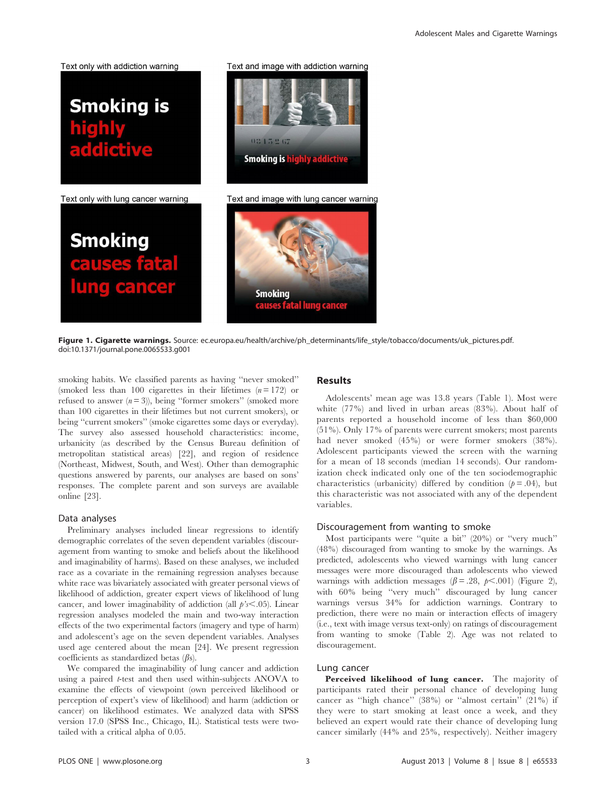

Figure 1. Cigarette warnings. Source: ec.europa.eu/health/archive/ph\_determinants/life\_style/tobacco/documents/uk\_pictures.pdf. doi:10.1371/journal.pone.0065533.g001

smoking habits. We classified parents as having ''never smoked'' (smoked less than 100 cigarettes in their lifetimes  $(n = 172)$  or refused to answer  $(n=3)$ ), being "former smokers" (smoked more than 100 cigarettes in their lifetimes but not current smokers), or being ''current smokers'' (smoke cigarettes some days or everyday). The survey also assessed household characteristics: income, urbanicity (as described by the Census Bureau definition of metropolitan statistical areas) [22], and region of residence (Northeast, Midwest, South, and West). Other than demographic questions answered by parents, our analyses are based on sons' responses. The complete parent and son surveys are available online [23].

#### Data analyses

Preliminary analyses included linear regressions to identify demographic correlates of the seven dependent variables (discouragement from wanting to smoke and beliefs about the likelihood and imaginability of harms). Based on these analyses, we included race as a covariate in the remaining regression analyses because white race was bivariately associated with greater personal views of likelihood of addiction, greater expert views of likelihood of lung cancer, and lower imaginability of addiction (all  $p's<.05$ ). Linear regression analyses modeled the main and two-way interaction effects of the two experimental factors (imagery and type of harm) and adolescent's age on the seven dependent variables. Analyses used age centered about the mean [24]. We present regression coefficients as standardized betas  $(\beta s)$ .

We compared the imaginability of lung cancer and addiction using a paired t-test and then used within-subjects ANOVA to examine the effects of viewpoint (own perceived likelihood or perception of expert's view of likelihood) and harm (addiction or cancer) on likelihood estimates. We analyzed data with SPSS version 17.0 (SPSS Inc., Chicago, IL). Statistical tests were twotailed with a critical alpha of 0.05.

# Results

Adolescents' mean age was 13.8 years (Table 1). Most were white (77%) and lived in urban areas (83%). About half of parents reported a household income of less than \$60,000 (51%). Only 17% of parents were current smokers; most parents had never smoked (45%) or were former smokers (38%). Adolescent participants viewed the screen with the warning for a mean of 18 seconds (median 14 seconds). Our randomization check indicated only one of the ten sociodemographic characteristics (urbanicity) differed by condition  $(p = .04)$ , but this characteristic was not associated with any of the dependent variables.

#### Discouragement from wanting to smoke

Most participants were "quite a bit" (20%) or "very much" (48%) discouraged from wanting to smoke by the warnings. As predicted, adolescents who viewed warnings with lung cancer messages were more discouraged than adolescents who viewed warnings with addiction messages ( $\beta$  = .28,  $p$ <.001) (Figure 2), with 60% being ''very much'' discouraged by lung cancer warnings versus 34% for addiction warnings. Contrary to prediction, there were no main or interaction effects of imagery (i.e., text with image versus text-only) on ratings of discouragement from wanting to smoke (Table 2). Age was not related to discouragement.

#### Lung cancer

Perceived likelihood of lung cancer. The majority of participants rated their personal chance of developing lung cancer as ''high chance'' (38%) or ''almost certain'' (21%) if they were to start smoking at least once a week, and they believed an expert would rate their chance of developing lung cancer similarly (44% and 25%, respectively). Neither imagery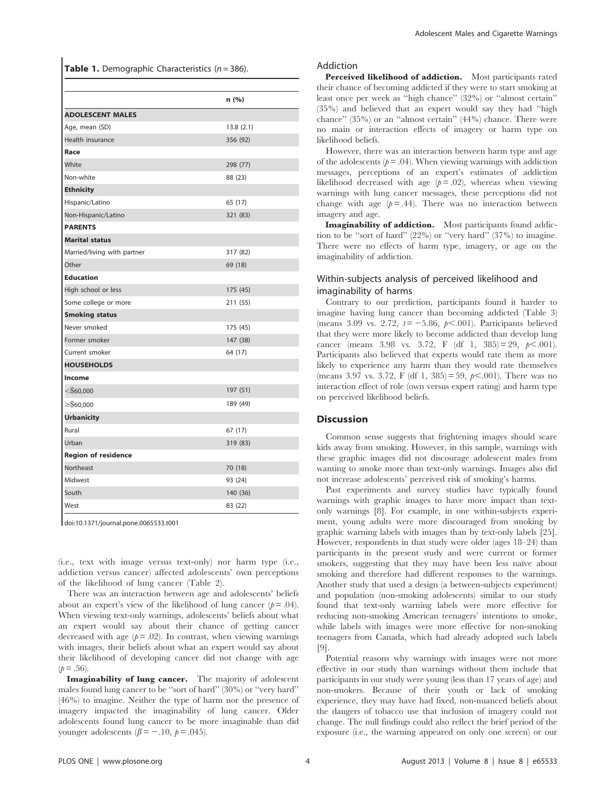**Table 1.** Demographic Characteristics ( $n = 386$ ).

|                             | n (%)     |
|-----------------------------|-----------|
| <b>ADOLESCENT MALES</b>     |           |
| Age, mean (SD)              | 13.8(2.1) |
| Health insurance            | 356 (92)  |
| Race                        |           |
| White                       | 298 (77)  |
| Non-white                   | 88 (23)   |
| <b>Ethnicity</b>            |           |
| Hispanic/Latino             | 65 (17)   |
| Non-Hispanic/Latino         | 321 (83)  |
| <b>PARENTS</b>              |           |
| <b>Marital status</b>       |           |
| Married/living with partner | 317 (82)  |
| Other                       | 69 (18)   |
| <b>Education</b>            |           |
| High school or less         | 175 (45)  |
| Some college or more        | 211 (55)  |
| <b>Smoking status</b>       |           |
| Never smoked                | 175 (45)  |
| Former smoker               | 147 (38)  |
| Current smoker              | 64 (17)   |
| <b>HOUSEHOLDS</b>           |           |
| Income                      |           |
| $<\frac{6}{3}60,000$        | 197 (51)  |
| $\geq$ \$60,000             | 189 (49)  |
| <b>Urbanicity</b>           |           |
| Rural                       | 67 (17)   |
| Urban                       | 319 (83)  |
| <b>Region of residence</b>  |           |
| <b>Northeast</b>            | 70 (18)   |
| Midwest                     | 93 (24)   |
| South                       | 140 (36)  |
| West                        | 83 (22)   |

doi:10.1371/journal.pone.0065533.t001

(i.e., text with image versus text-only) nor harm type (i.e., addiction versus cancer) affected adolescents' own perceptions of the likelihood of lung cancer (Table 2).

There was an interaction between age and adolescents' beliefs about an expert's view of the likelihood of lung cancer  $(p = .04)$ . When viewing text-only warnings, adolescents' beliefs about what an expert would say about their chance of getting cancer decreased with age  $(p=.02)$ . In contrast, when viewing warnings with images, their beliefs about what an expert would say about their likelihood of developing cancer did not change with age  $(p=.56)$ .

Imaginability of lung cancer. The majority of adolescent males found lung cancer to be ''sort of hard'' (30%) or ''very hard'' (46%) to imagine. Neither the type of harm nor the presence of imagery impacted the imaginability of lung cancer. Older adolescents found lung cancer to be more imaginable than did younger adolescents  $(\beta = -.10, \ p = .045)$ .

#### Addiction

Perceived likelihood of addiction. Most participants rated their chance of becoming addicted if they were to start smoking at least once per week as ''high chance'' (32%) or ''almost certain'' (35%) and believed that an expert would say they had ''high chance'' (35%) or an ''almost certain'' (44%) chance. There were no main or interaction effects of imagery or harm type on likelihood beliefs.

However, there was an interaction between harm type and age of the adolescents ( $p = .04$ ). When viewing warnings with addiction messages, perceptions of an expert's estimates of addiction likelihood decreased with age  $(p=0.02)$ , whereas when viewing warnings with lung cancer messages, these perceptions did not change with age  $(p=.44)$ . There was no interaction between imagery and age.

Imaginability of addiction. Most participants found addiction to be ''sort of hard'' (22%) or ''very hard'' (37%) to imagine. There were no effects of harm type, imagery, or age on the imaginability of addiction.

## Within-subjects analysis of perceived likelihood and imaginability of harms

Contrary to our prediction, participants found it harder to imagine having lung cancer than becoming addicted (Table 3) (means 3.09 vs. 2.72,  $t = -5.86$ ,  $p < .001$ ). Participants believed that they were more likely to become addicted than develop lung cancer (means 3.98 vs. 3.72, F (df 1, 385) = 29,  $p<.001$ ). Participants also believed that experts would rate them as more likely to experience any harm than they would rate themselves (means 3.97 vs. 3.72, F (df 1, 385) = 59,  $p<.001$ ). There was no interaction effect of role (own versus expert rating) and harm type on perceived likelihood beliefs.

## **Discussion**

Common sense suggests that frightening images should scare kids away from smoking. However, in this sample, warnings with these graphic images did not discourage adolescent males from wanting to smoke more than text-only warnings. Images also did not increase adolescents' perceived risk of smoking's harms.

Past experiments and survey studies have typically found warnings with graphic images to have more impact than textonly warnings [8]. For example, in one within-subjects experiment, young adults were more discouraged from smoking by graphic warning labels with images than by text-only labels [25]. However, respondents in that study were older (ages 18–24) than participants in the present study and were current or former smokers, suggesting that they may have been less naïve about smoking and therefore had different responses to the warnings. Another study that used a design (a between-subjects experiment) and population (non-smoking adolescents) similar to our study found that text-only warning labels were more effective for reducing non-smoking American teenagers' intentions to smoke, while labels with images were more effective for non-smoking teenagers from Canada, which had already adopted such labels [9].

Potential reasons why warnings with images were not more effective in our study than warnings without them include that participants in our study were young (less than 17 years of age) and non-smokers. Because of their youth or lack of smoking experience, they may have had fixed, non-nuanced beliefs about the dangers of tobacco use that inclusion of imagery could not change. The null findings could also reflect the brief period of the exposure (i.e., the warning appeared on only one screen) or our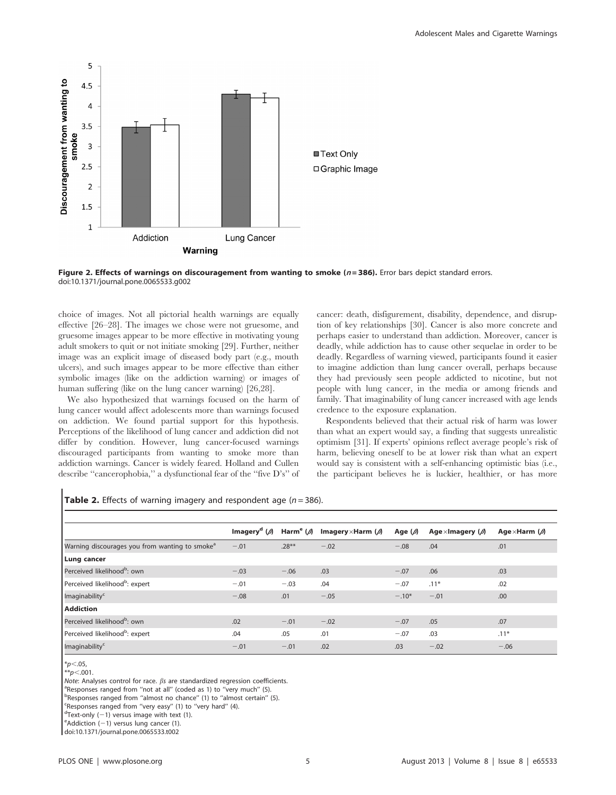

Figure 2. Effects of warnings on discouragement from wanting to smoke ( $n=386$ ). Error bars depict standard errors. doi:10.1371/journal.pone.0065533.g002

choice of images. Not all pictorial health warnings are equally effective [26–28]. The images we chose were not gruesome, and gruesome images appear to be more effective in motivating young adult smokers to quit or not initiate smoking [29]. Further, neither image was an explicit image of diseased body part (e.g., mouth ulcers), and such images appear to be more effective than either symbolic images (like on the addiction warning) or images of human suffering (like on the lung cancer warning) [26,28].

We also hypothesized that warnings focused on the harm of lung cancer would affect adolescents more than warnings focused on addiction. We found partial support for this hypothesis. Perceptions of the likelihood of lung cancer and addiction did not differ by condition. However, lung cancer-focused warnings discouraged participants from wanting to smoke more than addiction warnings. Cancer is widely feared. Holland and Cullen describe ''cancerophobia,'' a dysfunctional fear of the ''five D's'' of

cancer: death, disfigurement, disability, dependence, and disruption of key relationships [30]. Cancer is also more concrete and perhaps easier to understand than addiction. Moreover, cancer is deadly, while addiction has to cause other sequelae in order to be deadly. Regardless of warning viewed, participants found it easier to imagine addiction than lung cancer overall, perhaps because they had previously seen people addicted to nicotine, but not people with lung cancer, in the media or among friends and family. That imaginability of lung cancer increased with age lends credence to the exposure explanation.

Respondents believed that their actual risk of harm was lower than what an expert would say, a finding that suggests unrealistic optimism [31]. If experts' opinions reflect average people's risk of harm, believing oneself to be at lower risk than what an expert would say is consistent with a self-enhancing optimistic bias (i.e., the participant believes he is luckier, healthier, or has more

**Table 2.** Effects of warning imagery and respondent age  $(n = 386)$ .

|                                                            | Imagery <sup>d</sup> ( $\beta$ ) |         | Harm <sup>e</sup> ( $\beta$ Imagery $\times$ Harm ( $\beta$ ) | Age $(\beta)$ | Age $\times$ Imagery ( $\emptyset$ ) | Age $\times$ Harm ( $\emptyset$ |
|------------------------------------------------------------|----------------------------------|---------|---------------------------------------------------------------|---------------|--------------------------------------|---------------------------------|
| Warning discourages you from wanting to smoke <sup>a</sup> | $-.01$                           | $.28**$ | $-.02$                                                        | $-.08$        | .04                                  | .01                             |
| <b>Lung cancer</b>                                         |                                  |         |                                                               |               |                                      |                                 |
| Perceived likelihood <sup>b</sup> : own                    | $-.03$                           | $-.06$  | .03                                                           | $-.07$        | .06                                  | .03                             |
| Perceived likelihood <sup>b</sup> : expert                 | $-.01$                           | $-.03$  | .04                                                           | $-.07$        | $.11*$                               | .02                             |
| Imaginability <sup>c</sup>                                 | $-.08$                           | .01     | $-.05$                                                        | $-.10*$       | $-.01$                               | .00                             |
| <b>Addiction</b>                                           |                                  |         |                                                               |               |                                      |                                 |
| Perceived likelihood <sup>b</sup> : own                    | .02                              | $-.01$  | $-.02$                                                        | $-.07$        | .05                                  | .07                             |
| Perceived likelihood <sup>b</sup> : expert                 | .04                              | .05     | .01                                                           | $-.07$        | .03                                  | $.11*$                          |
| Imaginability <sup>c</sup>                                 | $-.01$                           | $-.01$  | .02                                                           | .03           | $-.02$                               | $-.06$                          |

 $*_{p<.05}$ ,

Note: Analyses control for race.  $\beta$ s are standardized regression coefficients.

<sup>a</sup>Responses ranged from "not at all" (coded as 1) to "very much" (5).

bResponses ranged from "almost no chance" (1) to "almost certain" (5).

<sup>c</sup>Responses ranged from "very easy" (1) to "very hard" (4).

 $d$ Text-only (-1) versus image with text (1).

 $e^e$ Addiction  $(-1)$  versus lung cancer (1).

doi:10.1371/journal.pone.0065533.t002

 $* p < .001$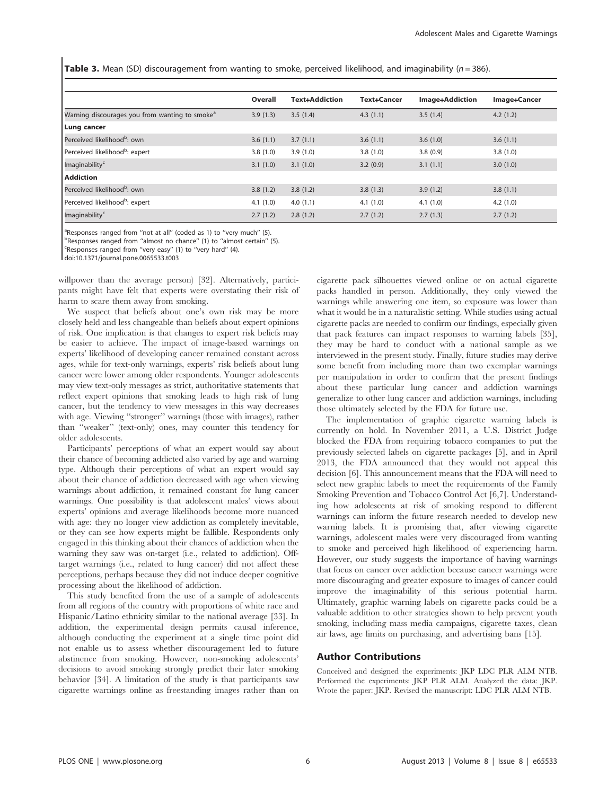**Table 3.** Mean (SD) discouragement from wanting to smoke, perceived likelihood, and imaginability ( $n = 386$ ).

|                                                            | Overall  | <b>Text+Addiction</b> | Text+Cancer | Image+Addiction | Image+Cancer |
|------------------------------------------------------------|----------|-----------------------|-------------|-----------------|--------------|
| Warning discourages you from wanting to smoke <sup>a</sup> | 3.9(1.3) | 3.5(1.4)              | 4.3(1.1)    | 3.5(1.4)        | 4.2(1.2)     |
| <b>Lung cancer</b>                                         |          |                       |             |                 |              |
| Perceived likelihood <sup>b</sup> : own                    | 3.6(1.1) | 3.7(1.1)              | 3.6(1.1)    | 3.6(1.0)        | 3.6(1.1)     |
| Perceived likelihood <sup>b</sup> : expert                 | 3.8(1.0) | 3.9(1.0)              | 3.8(1.0)    | 3.8(0.9)        | 3.8(1.0)     |
| Imaginability <sup>c</sup>                                 | 3.1(1.0) | 3.1(1.0)              | 3.2(0.9)    | 3.1(1.1)        | 3.0(1.0)     |
| <b>Addiction</b>                                           |          |                       |             |                 |              |
| Perceived likelihood <sup>b</sup> : own                    | 3.8(1.2) | 3.8(1.2)              | 3.8(1.3)    | 3.9(1.2)        | 3.8(1.1)     |
| Perceived likelihood <sup>b</sup> : expert                 | 4.1(1.0) | 4.0(1.1)              | 4.1(1.0)    | 4.1(1.0)        | 4.2(1.0)     |
| Imaginability <sup>c</sup>                                 | 2.7(1.2) | 2.8(1.2)              | 2.7(1.2)    | 2.7(1.3)        | 2.7(1.2)     |

<sup>a</sup>Responses ranged from "not at all" (coded as 1) to "very much" (5).

<sup>b</sup>Responses ranged from "almost no chance" (1) to "almost certain" (5).

<sup>c</sup>Responses ranged from "very easy" (1) to "very hard" (4).

doi:10.1371/journal.pone.0065533.t003

willpower than the average person) [32]. Alternatively, participants might have felt that experts were overstating their risk of harm to scare them away from smoking.

We suspect that beliefs about one's own risk may be more closely held and less changeable than beliefs about expert opinions of risk. One implication is that changes to expert risk beliefs may be easier to achieve. The impact of image-based warnings on experts' likelihood of developing cancer remained constant across ages, while for text-only warnings, experts' risk beliefs about lung cancer were lower among older respondents. Younger adolescents may view text-only messages as strict, authoritative statements that reflect expert opinions that smoking leads to high risk of lung cancer, but the tendency to view messages in this way decreases with age. Viewing ''stronger'' warnings (those with images), rather than ''weaker'' (text-only) ones, may counter this tendency for older adolescents.

Participants' perceptions of what an expert would say about their chance of becoming addicted also varied by age and warning type. Although their perceptions of what an expert would say about their chance of addiction decreased with age when viewing warnings about addiction, it remained constant for lung cancer warnings. One possibility is that adolescent males' views about experts' opinions and average likelihoods become more nuanced with age: they no longer view addiction as completely inevitable, or they can see how experts might be fallible. Respondents only engaged in this thinking about their chances of addiction when the warning they saw was on-target (i.e., related to addiction). Offtarget warnings (i.e., related to lung cancer) did not affect these perceptions, perhaps because they did not induce deeper cognitive processing about the likelihood of addiction.

This study benefited from the use of a sample of adolescents from all regions of the country with proportions of white race and Hispanic/Latino ethnicity similar to the national average [33]. In addition, the experimental design permits causal inference, although conducting the experiment at a single time point did not enable us to assess whether discouragement led to future abstinence from smoking. However, non-smoking adolescents' decisions to avoid smoking strongly predict their later smoking behavior [34]. A limitation of the study is that participants saw cigarette warnings online as freestanding images rather than on cigarette pack silhouettes viewed online or on actual cigarette packs handled in person. Additionally, they only viewed the warnings while answering one item, so exposure was lower than what it would be in a naturalistic setting. While studies using actual cigarette packs are needed to confirm our findings, especially given that pack features can impact responses to warning labels [35], they may be hard to conduct with a national sample as we interviewed in the present study. Finally, future studies may derive some benefit from including more than two exemplar warnings per manipulation in order to confirm that the present findings about these particular lung cancer and addiction warnings generalize to other lung cancer and addiction warnings, including those ultimately selected by the FDA for future use.

The implementation of graphic cigarette warning labels is currently on hold. In November 2011, a U.S. District Judge blocked the FDA from requiring tobacco companies to put the previously selected labels on cigarette packages [5], and in April 2013, the FDA announced that they would not appeal this decision [6]. This announcement means that the FDA will need to select new graphic labels to meet the requirements of the Family Smoking Prevention and Tobacco Control Act [6,7]. Understanding how adolescents at risk of smoking respond to different warnings can inform the future research needed to develop new warning labels. It is promising that, after viewing cigarette warnings, adolescent males were very discouraged from wanting to smoke and perceived high likelihood of experiencing harm. However, our study suggests the importance of having warnings that focus on cancer over addiction because cancer warnings were more discouraging and greater exposure to images of cancer could improve the imaginability of this serious potential harm. Ultimately, graphic warning labels on cigarette packs could be a valuable addition to other strategies shown to help prevent youth smoking, including mass media campaigns, cigarette taxes, clean air laws, age limits on purchasing, and advertising bans [15].

# Author Contributions

Conceived and designed the experiments: JKP LDC PLR ALM NTB. Performed the experiments: JKP PLR ALM. Analyzed the data: JKP. Wrote the paper: JKP. Revised the manuscript: LDC PLR ALM NTB.